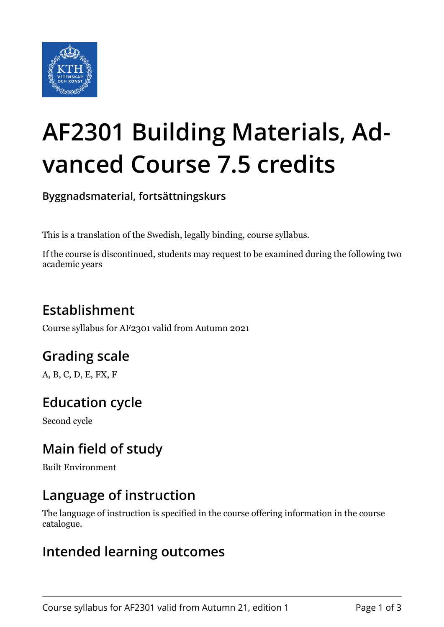

# **AF2301 Building Materials, Advanced Course 7.5 credits**

**Byggnadsmaterial, fortsättningskurs**

This is a translation of the Swedish, legally binding, course syllabus.

If the course is discontinued, students may request to be examined during the following two academic years

## **Establishment**

Course syllabus for AF2301 valid from Autumn 2021

## **Grading scale**

A, B, C, D, E, FX, F

## **Education cycle**

Second cycle

## **Main field of study**

Built Environment

#### **Language of instruction**

The language of instruction is specified in the course offering information in the course catalogue.

#### **Intended learning outcomes**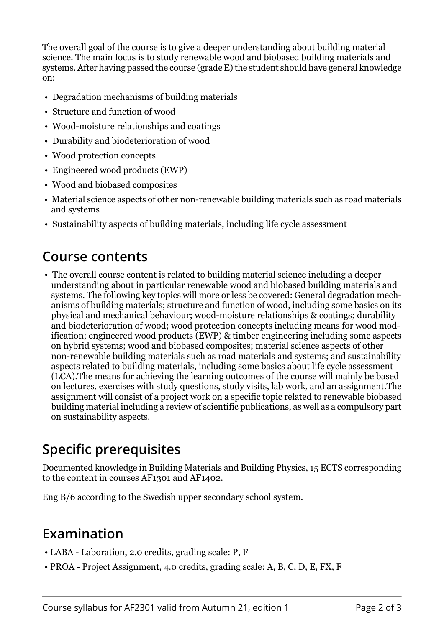The overall goal of the course is to give a deeper understanding about building material science. The main focus is to study renewable wood and biobased building materials and systems. After having passed the course (grade E) the student should have general knowledge on:

- Degradation mechanisms of building materials
- Structure and function of wood
- Wood-moisture relationships and coatings
- Durability and biodeterioration of wood
- Wood protection concepts
- Engineered wood products (EWP)
- Wood and biobased composites
- Material science aspects of other non-renewable building materials such as road materials and systems
- Sustainability aspects of building materials, including life cycle assessment

#### **Course contents**

 • The overall course content is related to building material science including a deeper understanding about in particular renewable wood and biobased building materials and systems. The following key topics will more or less be covered: General degradation mechanisms of building materials; structure and function of wood, including some basics on its physical and mechanical behaviour; wood-moisture relationships & coatings; durability and biodeterioration of wood; wood protection concepts including means for wood modification; engineered wood products (EWP) & timber engineering including some aspects on hybrid systems; wood and biobased composites; material science aspects of other non-renewable building materials such as road materials and systems; and sustainability aspects related to building materials, including some basics about life cycle assessment (LCA).The means for achieving the learning outcomes of the course will mainly be based on lectures, exercises with study questions, study visits, lab work, and an assignment.The assignment will consist of a project work on a specific topic related to renewable biobased building material including a review of scientific publications, as well as a compulsory part on sustainability aspects.

## **Specific prerequisites**

Documented knowledge in Building Materials and Building Physics, 15 ECTS corresponding to the content in courses AF1301 and AF1402.

Eng B/6 according to the Swedish upper secondary school system.

## **Examination**

- LABA Laboration, 2.0 credits, grading scale: P, F
- PROA Project Assignment, 4.0 credits, grading scale: A, B, C, D, E, FX, F